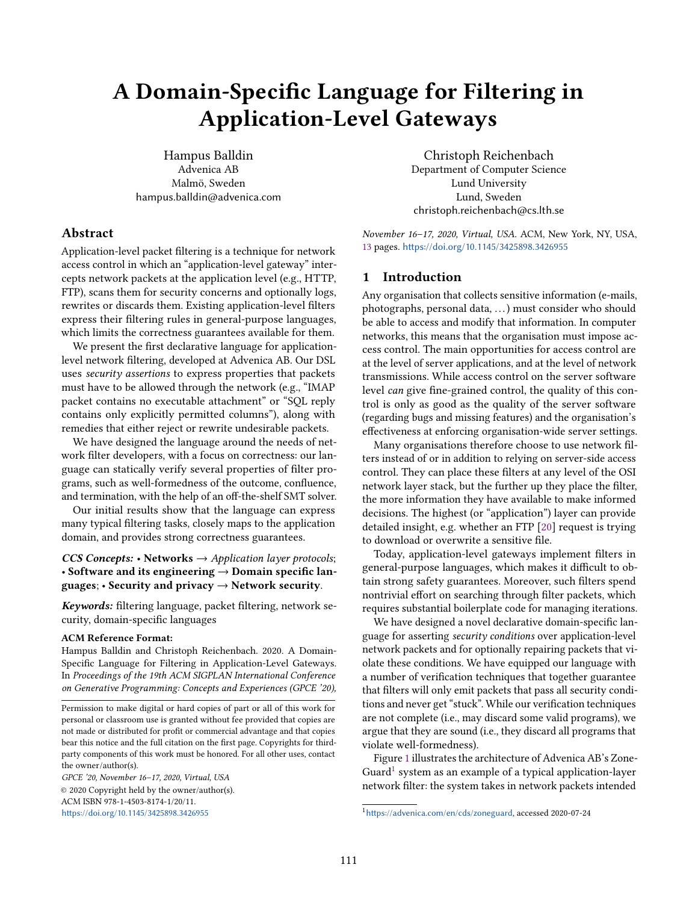# A Domain-Specific Language for Filtering in Application-Level Gateways

Hampus Balldin Advenica AB Malmö, Sweden hampus.balldin@advenica.com

# Abstract

Application-level packet filtering is a technique for network access control in which an "application-level gateway" intercepts network packets at the application level (e.g., HTTP, FTP), scans them for security concerns and optionally logs, rewrites or discards them. Existing application-level filters express their filtering rules in general-purpose languages, which limits the correctness guarantees available for them.

We present the first declarative language for applicationlevel network filtering, developed at Advenica AB. Our DSL uses security assertions to express properties that packets must have to be allowed through the network (e.g., "IMAP packet contains no executable attachment" or "SQL reply contains only explicitly permitted columns"), along with remedies that either reject or rewrite undesirable packets.

We have designed the language around the needs of network filter developers, with a focus on correctness: our language can statically verify several properties of filter programs, such as well-formedness of the outcome, confluence, and termination, with the help of an off-the-shelf SMT solver.

Our initial results show that the language can express many typical filtering tasks, closely maps to the application domain, and provides strong correctness guarantees.

CCS Concepts: • Networks  $\rightarrow$  Application layer protocols; • Software and its engineering  $\rightarrow$  Domain specific languages; • Security and privacy → Network security.

Keywords: filtering language, packet filtering, network security, domain-specific languages

## ACM Reference Format:

Hampus Balldin and Christoph Reichenbach. 2020. A Domain-Specific Language for Filtering in Application-Level Gateways. In Proceedings of the 19th ACM SIGPLAN International Conference on Generative Programming: Concepts and Experiences (GPCE '20),

GPCE '20, November 16–17, 2020, Virtual, USA © 2020 Copyright held by the owner/author(s). ACM ISBN 978-1-4503-8174-1/20/11. <https://doi.org/10.1145/3425898.3426955>

Christoph Reichenbach Department of Computer Science Lund University Lund, Sweden christoph.reichenbach@cs.lth.se

November 16–17, 2020, Virtual, USA. ACM, New York, NY, USA, [13](#page-12-0) pages. <https://doi.org/10.1145/3425898.3426955>

# <span id="page-0-1"></span>1 Introduction

Any organisation that collects sensitive information (e-mails, photographs, personal data, . . .) must consider who should be able to access and modify that information. In computer networks, this means that the organisation must impose access control. The main opportunities for access control are at the level of server applications, and at the level of network transmissions. While access control on the server software level can give fine-grained control, the quality of this control is only as good as the quality of the server software (regarding bugs and missing features) and the organisation's effectiveness at enforcing organisation-wide server settings.

Many organisations therefore choose to use network filters instead of or in addition to relying on server-side access control. They can place these filters at any level of the OSI network layer stack, but the further up they place the filter, the more information they have available to make informed decisions. The highest (or "application") layer can provide detailed insight, e.g. whether an FTP [\[20\]](#page-12-1) request is trying to download or overwrite a sensitive file.

Today, application-level gateways implement filters in general-purpose languages, which makes it difficult to obtain strong safety guarantees. Moreover, such filters spend nontrivial effort on searching through filter packets, which requires substantial boilerplate code for managing iterations.

We have designed a novel declarative domain-specific language for asserting security conditions over application-level network packets and for optionally repairing packets that violate these conditions. We have equipped our language with a number of verification techniques that together guarantee that filters will only emit packets that pass all security conditions and never get "stuck". While our verification techniques are not complete (i.e., may discard some valid programs), we argue that they are sound (i.e., they discard all programs that violate well-formedness).

Figure [1](#page-1-0) illustrates the architecture of Advenica AB's Zone-Guard<sup>[1](#page-0-0)</sup> system as an example of a typical application-layer network filter: the system takes in network packets intended

Permission to make digital or hard copies of part or all of this work for personal or classroom use is granted without fee provided that copies are not made or distributed for profit or commercial advantage and that copies bear this notice and the full citation on the first page. Copyrights for thirdparty components of this work must be honored. For all other uses, contact the owner/author(s).

<span id="page-0-0"></span><sup>1</sup><https://advenica.com/en/cds/zoneguard>, accessed 2020-07-24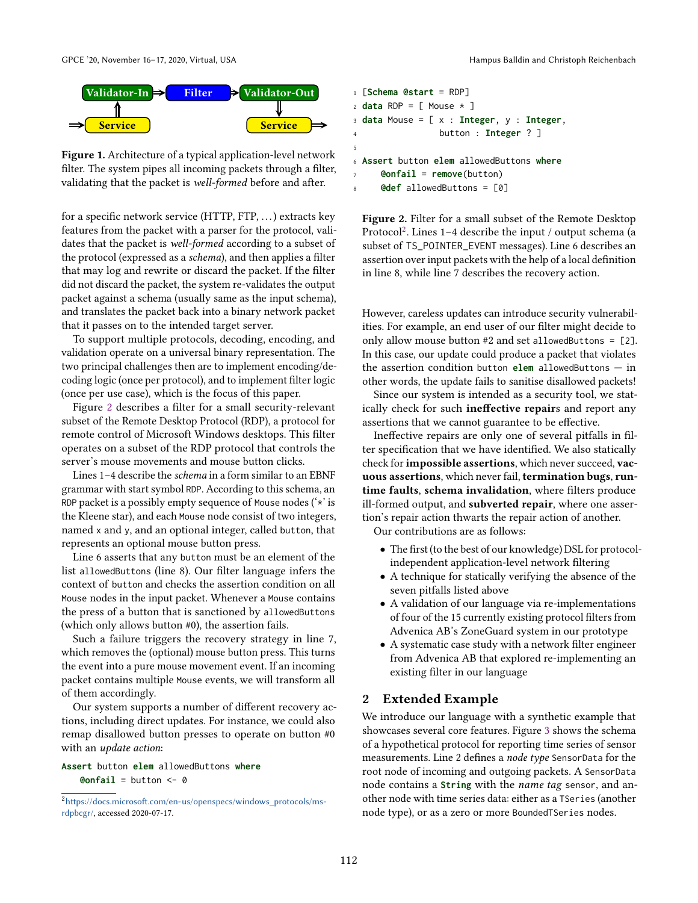<span id="page-1-0"></span>

Figure 1. Architecture of a typical application-level network filter. The system pipes all incoming packets through a filter, validating that the packet is well-formed before and after.

for a specific network service (HTTP, FTP, . . .) extracts key features from the packet with a parser for the protocol, validates that the packet is well-formed according to a subset of the protocol (expressed as a schema), and then applies a filter that may log and rewrite or discard the packet. If the filter did not discard the packet, the system re-validates the output packet against a schema (usually same as the input schema), and translates the packet back into a binary network packet that it passes on to the intended target server.

To support multiple protocols, decoding, encoding, and validation operate on a universal binary representation. The two principal challenges then are to implement encoding/decoding logic (once per protocol), and to implement filter logic (once per use case), which is the focus of this paper.

Figure [2](#page-1-1) describes a filter for a small security-relevant subset of the Remote Desktop Protocol (RDP), a protocol for remote control of Microsoft Windows desktops. This filter operates on a subset of the RDP protocol that controls the server's mouse movements and mouse button clicks.

Lines 1–4 describe the schema in a form similar to an EBNF grammar with start symbol RDP. According to this schema, an RDP packet is a possibly empty sequence of Mouse nodes ('\*' is the Kleene star), and each Mouse node consist of two integers, named x and y, and an optional integer, called button, that represents an optional mouse button press.

Line 6 asserts that any button must be an element of the list allowedButtons (line 8). Our filter language infers the context of button and checks the assertion condition on all Mouse nodes in the input packet. Whenever a Mouse contains the press of a button that is sanctioned by allowedButtons (which only allows button #0), the assertion fails.

Such a failure triggers the recovery strategy in line 7, which removes the (optional) mouse button press. This turns the event into a pure mouse movement event. If an incoming packet contains multiple Mouse events, we will transform all of them accordingly.

Our system supports a number of different recovery actions, including direct updates. For instance, we could also remap disallowed button presses to operate on button #0 with an update action:

#### **Assert** button **elem** allowedButtons **where @onfail** = button  $<-$  0

<span id="page-1-1"></span>

|                | $1$ [Schema @start = RDP]                                         |
|----------------|-------------------------------------------------------------------|
|                | $_2$ <b>data</b> RDP = [ Mouse $\star$ ]                          |
|                | 3 <b>data</b> Mouse = [ x : <b>Integer</b> , y : <b>Integer</b> , |
| $\overline{4}$ | button : Integer $?$ ]                                            |
| 5              |                                                                   |
|                | 6 Assert button elem allowedButtons where                         |
|                | $\text{Confail}$ = remove(button)<br>7                            |
|                |                                                                   |

Figure 2. Filter for a small subset of the Remote Desktop Protocol $^{2}$  $^{2}$  $^{2}$ . Lines 1–4 describe the input / output schema (a subset of TS\_POINTER\_EVENT messages). Line 6 describes an assertion over input packets with the help of a local definition in line 8, while line 7 describes the recovery action.

However, careless updates can introduce security vulnerabilities. For example, an end user of our filter might decide to only allow mouse button #2 and set allowedButtons = [2]. In this case, our update could produce a packet that violates the assertion condition button **elem** allowedButtons — in other words, the update fails to sanitise disallowed packets!

Since our system is intended as a security tool, we statically check for such **ineffective repair**s and report any assertions that we cannot guarantee to be effective.

Ineffective repairs are only one of several pitfalls in filter specification that we have identified. We also statically check for impossible assertions, which never succeed, vacuous assertions, which never fail, termination bugs, runtime faults, schema invalidation, where filters produce ill-formed output, and subverted repair, where one assertion's repair action thwarts the repair action of another.

Our contributions are as follows:

- The first (to the best of our knowledge) DSL for protocolindependent application-level network filtering
- A technique for statically verifying the absence of the seven pitfalls listed above
- A validation of our language via re-implementations of four of the 15 currently existing protocol filters from Advenica AB's ZoneGuard system in our prototype
- A systematic case study with a network filter engineer from Advenica AB that explored re-implementing an existing filter in our language

## 2 Extended Example

We introduce our language with a synthetic example that showcases several core features. Figure [3](#page-2-0) shows the schema of a hypothetical protocol for reporting time series of sensor measurements. Line 2 defines a node type SensorData for the root node of incoming and outgoing packets. A SensorData node contains a **String** with the name tag sensor, and another node with time series data: either as a TSeries (another node type), or as a zero or more BoundedTSeries nodes.

<span id="page-1-2"></span><sup>2</sup>[https://docs.microsoft.com/en-us/openspecs/windows\\_protocols/ms](https://docs.microsoft.com/en-us/openspecs/windows_protocols/ms-rdpbcgr/)[rdpbcgr/](https://docs.microsoft.com/en-us/openspecs/windows_protocols/ms-rdpbcgr/), accessed 2020-07-17.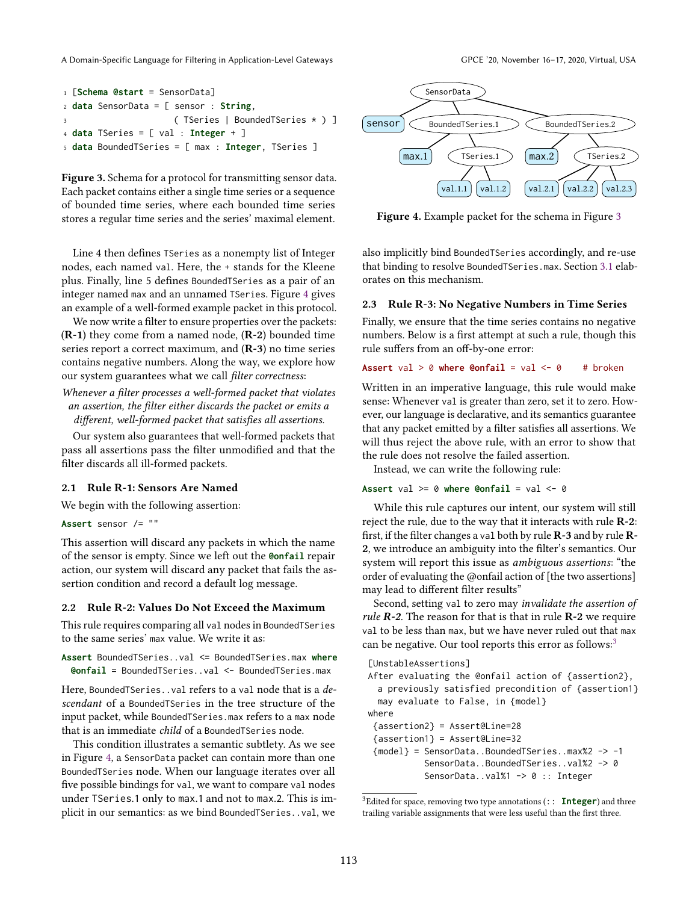A Domain-Specific Language for Filtering in Application-Level Gateways GPCE '20, November 16–17, 2020, Virtual, USA

```
1 [Schema @start = SensorData]
2 data SensorData = [ sensor : String,
                      3 ( TSeries | BoundedTSeries * ) ]
4 data TSeries = [ val : Integer + ]
5 data BoundedTSeries = [ max : Integer, TSeries ]
```
Figure 3. Schema for a protocol for transmitting sensor data. Each packet contains either a single time series or a sequence of bounded time series, where each bounded time series stores a regular time series and the series' maximal element.

Line 4 then defines TSeries as a nonempty list of Integer nodes, each named val. Here, the + stands for the Kleene plus. Finally, line 5 defines BoundedTSeries as a pair of an integer named max and an unnamed TSeries. Figure [4](#page-2-1) gives an example of a well-formed example packet in this protocol.

We now write a filter to ensure properties over the packets: (R-1) they come from a named node, (R-2) bounded time series report a correct maximum, and (R-3) no time series contains negative numbers. Along the way, we explore how our system guarantees what we call filter correctness:

Whenever a filter processes a well-formed packet that violates an assertion, the filter either discards the packet or emits a different, well-formed packet that satisfies all assertions.

Our system also guarantees that well-formed packets that pass all assertions pass the filter unmodified and that the filter discards all ill-formed packets.

# 2.1 Rule R-1: Sensors Are Named

We begin with the following assertion:

**Assert** sensor /= ""

This assertion will discard any packets in which the name of the sensor is empty. Since we left out the **@onfail** repair action, our system will discard any packet that fails the assertion condition and record a default log message.

#### <span id="page-2-4"></span>2.2 Rule R-2: Values Do Not Exceed the Maximum

This rule requires comparing all val nodes in BoundedTSeries to the same series' max value. We write it as:

**Assert** BoundedTSeries..val <= BoundedTSeries.max **where @onfail** = BoundedTSeries..val <- BoundedTSeries.max

Here, BoundedTSeries..val refers to a val node that is a descendant of a BoundedTSeries in the tree structure of the input packet, while BoundedTSeries.max refers to a max node that is an immediate child of a BoundedTSeries node.

This condition illustrates a semantic subtlety. As we see in Figure [4,](#page-2-1) a SensorData packet can contain more than one BoundedTSeries node. When our language iterates over all five possible bindings for val, we want to compare val nodes under TSeries.1 only to max.1 and not to max.2. This is implicit in our semantics: as we bind BoundedTSeries..val, we

<span id="page-2-1"></span>

Figure 4. Example packet for the schema in Figure [3](#page-2-0)

also implicitly bind BoundedTSeries accordingly, and re-use that binding to resolve BoundedTSeries.max. Section [3.1](#page-3-0) elaborates on this mechanism.

#### <span id="page-2-3"></span>2.3 Rule R-3: No Negative Numbers in Time Series

Finally, we ensure that the time series contains no negative numbers. Below is a first attempt at such a rule, though this rule suffers from an off-by-one error:

#### **Assert** val  $> 0$  where  $\theta$ onfail = val  $\leq 0$  # broken

Written in an imperative language, this rule would make sense: Whenever val is greater than zero, set it to zero. However, our language is declarative, and its semantics guarantee that any packet emitted by a filter satisfies all assertions. We will thus reject the above rule, with an error to show that the rule does not resolve the failed assertion.

Instead, we can write the following rule:

# **Assert** val >= 0 **where @onfail** = val <- 0

While this rule captures our intent, our system will still reject the rule, due to the way that it interacts with rule R-2: first, if the filter changes a val both by rule  $\mathbb{R}$ -3 and by rule  $\mathbb{R}$ -2, we introduce an ambiguity into the filter's semantics. Our system will report this issue as ambiguous assertions: "the order of evaluating the @onfail action of [the two assertions] may lead to different filter results"

Second, setting val to zero may invalidate the assertion of rule  $R-2$ . The reason for that is that in rule  $R-2$  we require val to be less than max, but we have never ruled out that max can be negative. Our tool reports this error as follows:<sup>[3](#page-2-2)</sup>

```
[UnstableAssertions]
After evaluating the @onfail action of {assertion2},
 a previously satisfied precondition of {assertion1}
 may evaluate to False, in {model}
where
 {assertion2} = Assert@Line=28
 {assertion1} = Assert@Line=32
 {model} = SensorData..BoundedTSeries..max%2 -> -1
           SensorData..BoundedTSeries..val%2 -> 0
           SensorData..val%1 -> 0 :: Integer
```
<span id="page-2-2"></span><sup>3</sup>Edited for space, removing two type annotations (:: **Integer**) and three trailing variable assignments that were less useful than the first three.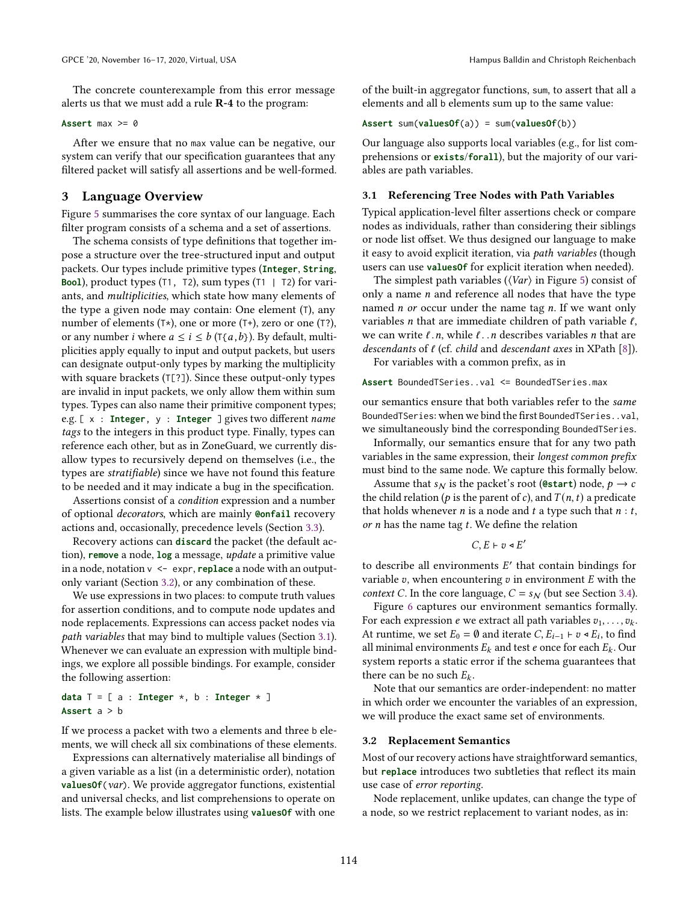The concrete counterexample from this error message alerts us that we must add a rule R-4 to the program:

#### **Assert** max >= 0

After we ensure that no max value can be negative, our system can verify that our specification guarantees that any filtered packet will satisfy all assertions and be well-formed.

#### 3 Language Overview

Figure [5](#page-4-0) summarises the core syntax of our language. Each filter program consists of a schema and a set of assertions.

The schema consists of type definitions that together impose a structure over the tree-structured input and output packets. Our types include primitive types (**Integer**, **String**, **Bool**), product types (T1, T2), sum types (T1 | T2) for variants, and multiplicities, which state how many elements of the type a given node may contain: One element (T), any number of elements  $(T*)$ , one or more  $(T*)$ , zero or one  $(T?)$ , or any number *i* where  $a \le i \le b$  ( $T\{a,b\}$ ). By default, multiplicities apply equally to input and output packets, but users can designate output-only types by marking the multiplicity with square brackets (T[?]). Since these output-only types are invalid in input packets, we only allow them within sum types. Types can also name their primitive component types; e.g. [ x : **Integer**, y : **Integer** ] gives two different name tags to the integers in this product type. Finally, types can reference each other, but as in ZoneGuard, we currently disallow types to recursively depend on themselves (i.e., the types are stratifiable) since we have not found this feature to be needed and it may indicate a bug in the specification.

Assertions consist of a condition expression and a number of optional decorators, which are mainly **@onfail** recovery actions and, occasionally, precedence levels (Section [3.3\)](#page-4-1).

Recovery actions can **discard** the packet (the default action), **remove** a node, **log** a message, update a primitive value in a node, notation v <- expr, **replace** a node with an outputonly variant (Section [3.2\)](#page-3-1), or any combination of these.

We use expressions in two places: to compute truth values for assertion conditions, and to compute node updates and node replacements. Expressions can access packet nodes via path variables that may bind to multiple values (Section [3.1\)](#page-3-0). Whenever we can evaluate an expression with multiple bindings, we explore all possible bindings. For example, consider the following assertion:

**data** T = [ a : **Integer** \*, b : **Integer** \* ] **Assert** a > b

If we process a packet with two a elements and three b elements, we will check all six combinations of these elements.

Expressions can alternatively materialise all bindings of a given variable as a list (in a deterministic order), notation **valuesOf**(var). We provide aggregator functions, existential and universal checks, and list comprehensions to operate on lists. The example below illustrates using **valuesOf** with one of the built-in aggregator functions, sum, to assert that all a elements and all b elements sum up to the same value:

**Assert** sum(**valuesOf**(a)) = sum(**valuesOf**(b))

Our language also supports local variables (e.g., for list comprehensions or **exists**/**forall**), but the majority of our variables are path variables.

## <span id="page-3-0"></span>3.1 Referencing Tree Nodes with Path Variables

Typical application-level filter assertions check or compare nodes as individuals, rather than considering their siblings or node list offset. We thus designed our language to make it easy to avoid explicit iteration, via *path variables* (though users can use **valuesOf** for explicit iteration when needed).

The simplest path variables ( $\langle Var \rangle$  in Figure [5\)](#page-4-0) consist of only a name  $n$  and reference all nodes that have the type named  $n$  or occur under the name tag  $n$ . If we want only variables *n* that are immediate children of path variable  $\ell$ , we can write  $\ell$ . n, while  $\ell$ . n describes variables *n* that are descendants of  $\ell$  (cf. child and descendant axes in XPath [\[8\]](#page-12-2)).

For variables with a common prefix, as in

**Assert** BoundedTSeries..val <= BoundedTSeries.max

our semantics ensure that both variables refer to the same BoundedTSeries: when we bind the first BoundedTSeries..val, we simultaneously bind the corresponding BoundedTSeries.

Informally, our semantics ensure that for any two path variables in the same expression, their longest common prefix must bind to the same node. We capture this formally below.

Assume that  $s_N$  is the packet's root (**@start**) node,  $p \rightarrow c$ the child relation ( $p$  is the parent of c), and  $T(n, t)$  a predicate that holds whenever *n* is a node and *t* a type such that  $n : t$ , or  $n$  has the name tag  $t$ . We define the relation

$$
C, E \vdash v \triangleleft E
$$

′

to describe all environments  $E'$  that contain bindings for variable  $v$ , when encountering  $v$  in environment  $E$  with the *context C*. In the core language,  $C = s_N$  (but see Section [3.4\)](#page-4-2).

Figure [6](#page-4-3) captures our environment semantics formally. For each expression  $e$  we extract all path variables  $v_1, \ldots, v_k$ . At runtime, we set  $E_0 = \emptyset$  and iterate  $C, E_{i-1} \vdash v \triangleleft E_i$ , to find all minimal environments  $E_k$  and test  $e$  once for each  $E_k$ . Our system reports a static error if the schema guarantees that there can be no such  $E_k$ .

Note that our semantics are order-independent: no matter in which order we encounter the variables of an expression, we will produce the exact same set of environments.

#### <span id="page-3-1"></span>3.2 Replacement Semantics

Most of our recovery actions have straightforward semantics, but **replace** introduces two subtleties that reflect its main use case of error reporting.

Node replacement, unlike updates, can change the type of a node, so we restrict replacement to variant nodes, as in: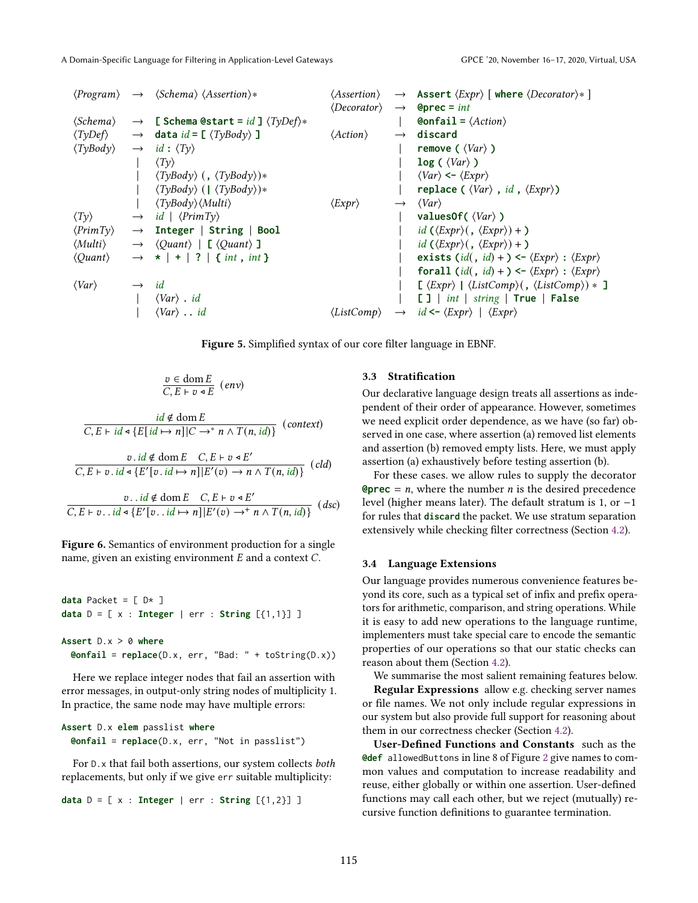<span id="page-4-0"></span>

|                                   |                                                        |                                                                                                                                                                                                                                                                                                                                                                                                                                                                                                                          | $\langle\text{A}{\mathit{ssertion}}\rangle \rightarrow \text{A}{\mathit{ssert}} \langle\text{Expr}\rangle$ where $\langle\text{Decorator}\rangle\ast$ ] |
|-----------------------------------|--------------------------------------------------------|--------------------------------------------------------------------------------------------------------------------------------------------------------------------------------------------------------------------------------------------------------------------------------------------------------------------------------------------------------------------------------------------------------------------------------------------------------------------------------------------------------------------------|---------------------------------------------------------------------------------------------------------------------------------------------------------|
|                                   |                                                        |                                                                                                                                                                                                                                                                                                                                                                                                                                                                                                                          |                                                                                                                                                         |
| $\langle \mathit{Schema} \rangle$ |                                                        |                                                                                                                                                                                                                                                                                                                                                                                                                                                                                                                          | <b>Confail =</b> $\langle Action \rangle$                                                                                                               |
|                                   |                                                        | $\langle Action \rangle$                                                                                                                                                                                                                                                                                                                                                                                                                                                                                                 | $\rightarrow$ discard                                                                                                                                   |
|                                   |                                                        |                                                                                                                                                                                                                                                                                                                                                                                                                                                                                                                          | remove ( $\langle Var \rangle$ )                                                                                                                        |
|                                   | $\langle Ty \rangle$                                   |                                                                                                                                                                                                                                                                                                                                                                                                                                                                                                                          | $log ($ $\langle Var \rangle$ $)$                                                                                                                       |
|                                   | $\langle TyBody\rangle$ (, $\langle TyBody\rangle$ )*  |                                                                                                                                                                                                                                                                                                                                                                                                                                                                                                                          | $\langle Var \rangle \leftarrow \langle Expr \rangle$                                                                                                   |
|                                   | $\langle TyBody \rangle$ ( $\langle TyBody \rangle$ )* |                                                                                                                                                                                                                                                                                                                                                                                                                                                                                                                          | replace ( $\langle Var \rangle$ , <i>id</i> , $\langle Expr \rangle$ )                                                                                  |
|                                   | $\langle TyBody\rangle$ ( <i>Multi</i> )               | $\langle Expert\rangle$                                                                                                                                                                                                                                                                                                                                                                                                                                                                                                  | $\rightarrow \langle Var \rangle$                                                                                                                       |
|                                   |                                                        |                                                                                                                                                                                                                                                                                                                                                                                                                                                                                                                          | valuesOf( $\langle Var \rangle$ )                                                                                                                       |
|                                   |                                                        |                                                                                                                                                                                                                                                                                                                                                                                                                                                                                                                          | $id (\langle Expr \rangle (, \langle Expr \rangle) + )$                                                                                                 |
|                                   |                                                        |                                                                                                                                                                                                                                                                                                                                                                                                                                                                                                                          | $id (\langle Expert\rangle, \langle Expert\rangle) + )$                                                                                                 |
|                                   |                                                        |                                                                                                                                                                                                                                                                                                                                                                                                                                                                                                                          | exists $(id, id) +$ $\leftarrow$ $\langle Expr \rangle$ : $\langle Expr \rangle$                                                                        |
|                                   |                                                        |                                                                                                                                                                                                                                                                                                                                                                                                                                                                                                                          | forall $(id, id) + \rightarrow \langle Expert \rangle : \langle Expert \rangle$                                                                         |
|                                   |                                                        |                                                                                                                                                                                                                                                                                                                                                                                                                                                                                                                          | $\lbrack \langle Expr \rangle \mid \langle ListComp \rangle (, \langle ListComp \rangle) * \rbrack$                                                     |
|                                   | $\langle Var \rangle$ . id                             |                                                                                                                                                                                                                                                                                                                                                                                                                                                                                                                          | []   int   string   True   False                                                                                                                        |
|                                   | $\langle Var \rangle$ . id                             |                                                                                                                                                                                                                                                                                                                                                                                                                                                                                                                          | $\langle ListComp \rangle \rightarrow id \leftarrow \langle Expr \rangle \mid \langle Expr \rangle$                                                     |
|                                   |                                                        | $\langle Program \rangle \rightarrow \langle Schema \rangle \langle Assertion \rangle *$<br>$\rightarrow$ [ Schema @start = id ] $\langle TyDef \rangle *$<br>$\langle TyDef \rangle \longrightarrow$ data id = [ $\langle TyBody \rangle$ ]<br>$\rightarrow$ id: $\langle Ty \rangle$<br>$\rightarrow$ id   $\langle PrimTy \rangle$<br>$\rightarrow$ Integer   String   Bool<br>$\rightarrow$ $\langle$ Quant $\rangle$   [ $\langle$ Quant $\rangle$ ]<br>$\rightarrow$ *   +   ?   { int , int }<br>$\rightarrow$ id | $\langle Decorator \rangle \rightarrow$ <b>@prec</b> = <i>int</i>                                                                                       |

Figure 5. Simplified syntax of our core filter language in EBNF.

$$
\frac{v \in \text{dom } E}{C, E \vdash v \triangleleft E} \quad (env)
$$

<span id="page-4-3"></span> $\frac{id \notin \text{dom } E}{C, E \vdash id \triangle \{E[i d \mapsto n] | C \rightarrow^* n \land T(n, id)\}}$  (context)

$$
\frac{v \cdot id \notin \text{dom } E \quad C, E \vdash v \triangleleft E'}{C, E \vdash v \cdot id \triangleleft \{E'[v \cdot id \mapsto n] | E'(v) \to n \land T(n, id)\} } \ (cld)
$$

 $v$ ..*id* ∉ dom  $E$   $C, E \vdash v \triangleleft E'$  $\overline{C, E \vdash v \ldots id \triangleleft \{ E'[v \ldots id \mapsto n] | E'(v) \rightarrow^+ n \wedge T(n, id) \}}$  (dsc)

Figure 6. Semantics of environment production for a single name, given an existing environment  $E$  and a context  $C$ .

**data** Packet =  $[D*]$ **data**  $D = [x : Integer | err : String [{1,1}] ]$ 

#### **Assert** D.x > 0 **where**

**@onfail** = **replace**(D.x, err, "Bad: " + toString(D.x))

Here we replace integer nodes that fail an assertion with error messages, in output-only string nodes of multiplicity 1. In practice, the same node may have multiple errors:

#### **Assert** D.x **elem** passlist **where @onfail** = **replace**(D.x, err, "Not in passlist")

For D.x that fail both assertions, our system collects both replacements, but only if we give err suitable multiplicity:

```
data D = [ x : Integer | err : String [{1,2}] ]
```
# <span id="page-4-1"></span>3.3 Stratification

Our declarative language design treats all assertions as independent of their order of appearance. However, sometimes we need explicit order dependence, as we have (so far) observed in one case, where assertion (a) removed list elements and assertion (b) removed empty lists. Here, we must apply assertion (a) exhaustively before testing assertion (b).

For these cases. we allow rules to supply the decorator **@prec** =  $n$ , where the number  $n$  is the desired precedence level (higher means later). The default stratum is 1, or −1 for rules that **discard** the packet. We use stratum separation extensively while checking filter correctness (Section [4.2\)](#page-5-0).

## <span id="page-4-2"></span>3.4 Language Extensions

Our language provides numerous convenience features beyond its core, such as a typical set of infix and prefix operators for arithmetic, comparison, and string operations. While it is easy to add new operations to the language runtime, implementers must take special care to encode the semantic properties of our operations so that our static checks can reason about them (Section [4.2\)](#page-5-0).

We summarise the most salient remaining features below.

Regular Expressions allow e.g. checking server names or file names. We not only include regular expressions in our system but also provide full support for reasoning about them in our correctness checker (Section [4.2\)](#page-5-0).

User-Defined Functions and Constants such as the **@def** allowedButtons in line 8 of Figure [2](#page-1-1) give names to common values and computation to increase readability and reuse, either globally or within one assertion. User-defined functions may call each other, but we reject (mutually) recursive function definitions to guarantee termination.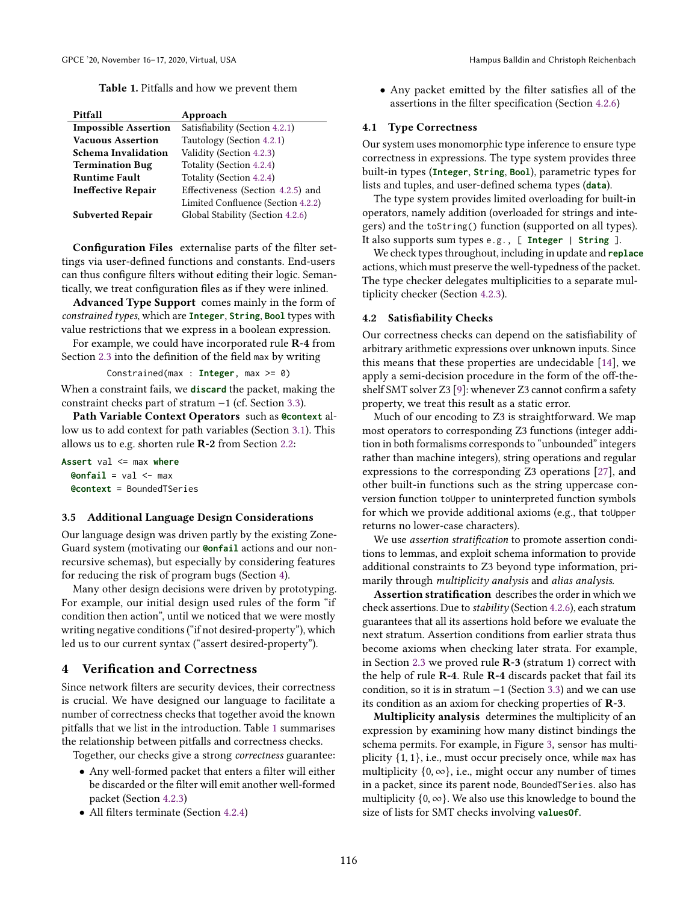Table 1. Pitfalls and how we prevent them

<span id="page-5-2"></span>

| Pitfall                     | Approach                           |
|-----------------------------|------------------------------------|
| <b>Impossible Assertion</b> | Satisfiability (Section 4.2.1)     |
| <b>Vacuous Assertion</b>    | Tautology (Section 4.2.1)          |
| Schema Invalidation         | Validity (Section 4.2.3)           |
| <b>Termination Bug</b>      | Totality (Section 4.2.4)           |
| <b>Runtime Fault</b>        | Totality (Section 4.2.4)           |
| <b>Ineffective Repair</b>   | Effectiveness (Section 4.2.5) and  |
|                             | Limited Confluence (Section 4.2.2) |
| <b>Subverted Repair</b>     | Global Stability (Section 4.2.6)   |

Configuration Files externalise parts of the filter settings via user-defined functions and constants. End-users can thus configure filters without editing their logic. Semantically, we treat configuration files as if they were inlined.

Advanced Type Support comes mainly in the form of constrained types, which are **Integer**, **String**, **Bool** types with value restrictions that we express in a boolean expression.

For example, we could have incorporated rule R-4 from Section [2.3](#page-2-3) into the definition of the field max by writing

Constrained(max : **Integer**, max >= 0)

When a constraint fails, we **discard** the packet, making the constraint checks part of stratum −1 (cf. Section [3.3\)](#page-4-1).

Path Variable Context Operators such as **@context** allow us to add context for path variables (Section [3.1\)](#page-3-0). This allows us to e.g. shorten rule R-2 from Section [2.2:](#page-2-4)

**Assert** val <= max **where @onfail** = val <- max **@context** = BoundedTSeries

#### 3.5 Additional Language Design Considerations

Our language design was driven partly by the existing Zone-Guard system (motivating our **@onfail** actions and our nonrecursive schemas), but especially by considering features for reducing the risk of program bugs (Section [4\)](#page-5-1).

Many other design decisions were driven by prototyping. For example, our initial design used rules of the form "if condition then action", until we noticed that we were mostly writing negative conditions ("if not desired-property"), which led us to our current syntax ("assert desired-property").

## <span id="page-5-1"></span>4 Verification and Correctness

Since network filters are security devices, their correctness is crucial. We have designed our language to facilitate a number of correctness checks that together avoid the known pitfalls that we list in the introduction. Table [1](#page-5-2) summarises the relationship between pitfalls and correctness checks.

Together, our checks give a strong correctness guarantee:

- Any well-formed packet that enters a filter will either be discarded or the filter will emit another well-formed packet (Section [4.2.3\)](#page-6-1)
- All filters terminate (Section [4.2.4\)](#page-6-2)

• Any packet emitted by the filter satisfies all of the assertions in the filter specification (Section [4.2.6\)](#page-7-0)

#### <span id="page-5-3"></span>4.1 Type Correctness

Our system uses monomorphic type inference to ensure type correctness in expressions. The type system provides three built-in types (**Integer**, **String**, **Bool**), parametric types for lists and tuples, and user-defined schema types (**data**).

The type system provides limited overloading for built-in operators, namely addition (overloaded for strings and integers) and the toString() function (supported on all types). It also supports sum types e.g., [ **Integer** | **String** ].

We check types throughout, including in update and **replace** actions, which must preserve the well-typedness of the packet. The type checker delegates multiplicities to a separate multiplicity checker (Section [4.2.3\)](#page-6-1).

## <span id="page-5-0"></span>4.2 Satisfiability Checks

Our correctness checks can depend on the satisfiability of arbitrary arithmetic expressions over unknown inputs. Since this means that these properties are undecidable [\[14\]](#page-12-3), we apply a semi-decision procedure in the form of the off-theshelf SMT solver Z3 [\[9\]](#page-12-4): whenever Z3 cannot confirm a safety property, we treat this result as a static error.

Much of our encoding to Z3 is straightforward. We map most operators to corresponding Z3 functions (integer addition in both formalisms corresponds to "unbounded" integers rather than machine integers), string operations and regular expressions to the corresponding Z3 operations [\[27\]](#page-12-5), and other built-in functions such as the string uppercase conversion function toUpper to uninterpreted function symbols for which we provide additional axioms (e.g., that toUpper returns no lower-case characters).

We use assertion stratification to promote assertion conditions to lemmas, and exploit schema information to provide additional constraints to Z3 beyond type information, primarily through *multiplicity analysis* and *alias analysis*.

Assertion stratification describes the order in which we check assertions. Due to stability (Section [4.2.6\)](#page-7-0), each stratum guarantees that all its assertions hold before we evaluate the next stratum. Assertion conditions from earlier strata thus become axioms when checking later strata. For example, in Section [2.3](#page-2-3) we proved rule R-3 (stratum 1) correct with the help of rule R-4. Rule R-4 discards packet that fail its condition, so it is in stratum −1 (Section [3.3\)](#page-4-1) and we can use its condition as an axiom for checking properties of R-3.

Multiplicity analysis determines the multiplicity of an expression by examining how many distinct bindings the schema permits. For example, in Figure [3,](#page-2-0) sensor has multiplicity  $\{1, 1\}$ , i.e., must occur precisely once, while max has multiplicity  $\{0, \infty\}$ , i.e., might occur any number of times in a packet, since its parent node, BoundedTSeries. also has multiplicity  $\{0, \infty\}$ . We also use this knowledge to bound the size of lists for SMT checks involving **valuesOf**.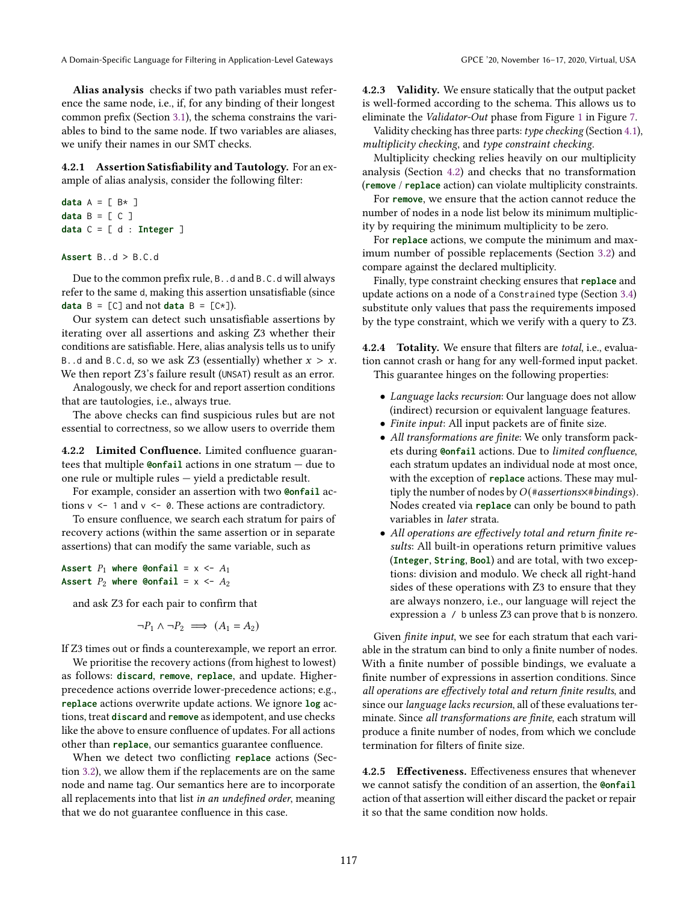Alias analysis checks if two path variables must reference the same node, i.e., if, for any binding of their longest common prefix (Section [3.1\)](#page-3-0), the schema constrains the variables to bind to the same node. If two variables are aliases, we unify their names in our SMT checks.

<span id="page-6-0"></span>4.2.1 Assertion Satisfiability and Tautology. For an example of alias analysis, consider the following filter:

```
data A = [B \times ]data B = [C]data C = [ d : Integer ]
```
#### **Assert** B..d > B.C.d

Due to the common prefix rule, B. .d and B.C.d will always refer to the same d, making this assertion unsatisfiable (since **data**  $B = [C]$  and not **data**  $B = [C \star ]$ .

Our system can detect such unsatisfiable assertions by iterating over all assertions and asking Z3 whether their conditions are satisfiable. Here, alias analysis tells us to unify B. d and B.C.d, so we ask Z3 (essentially) whether  $x > x$ . We then report Z3's failure result (UNSAT) result as an error.

Analogously, we check for and report assertion conditions that are tautologies, i.e., always true.

The above checks can find suspicious rules but are not essential to correctness, so we allow users to override them

<span id="page-6-4"></span>4.2.2 Limited Confluence. Limited confluence guarantees that multiple **@onfail** actions in one stratum — due to one rule or multiple rules — yield a predictable result.

For example, consider an assertion with two **@onfail** actions  $v \leq 1$  and  $v \leq 0$ . These actions are contradictory.

To ensure confluence, we search each stratum for pairs of recovery actions (within the same assertion or in separate assertions) that can modify the same variable, such as

Assert  $P_1$  where  $\text{Confail} = x \leftarrow A_1$ Assert  $P_2$  where  $\text{Confail} = x \leftarrow A_2$ 

and ask Z3 for each pair to confirm that

$$
\neg P_1 \land \neg P_2 \implies (A_1 = A_2)
$$

If Z3 times out or finds a counterexample, we report an error.

We prioritise the recovery actions (from highest to lowest) as follows: **discard**, **remove**, **replace**, and update. Higherprecedence actions override lower-precedence actions; e.g., **replace** actions overwrite update actions. We ignore **log** actions, treat **discard** and **remove** as idempotent, and use checks like the above to ensure confluence of updates. For all actions other than **replace**, our semantics guarantee confluence.

When we detect two conflicting **replace** actions (Section [3.2\)](#page-3-1), we allow them if the replacements are on the same node and name tag. Our semantics here are to incorporate all replacements into that list in an undefined order, meaning that we do not guarantee confluence in this case.

<span id="page-6-1"></span>4.2.3 Validity. We ensure statically that the output packet is well-formed according to the schema. This allows us to eliminate the *Validator-Out* phase from Figure [1](#page-1-0) in Figure [7.](#page-7-1)

Validity checking has three parts: type checking (Section [4.1\)](#page-5-3), multiplicity checking, and type constraint checking.

Multiplicity checking relies heavily on our multiplicity analysis (Section [4.2\)](#page-5-0) and checks that no transformation (**remove** / **replace** action) can violate multiplicity constraints.

For **remove**, we ensure that the action cannot reduce the number of nodes in a node list below its minimum multiplicity by requiring the minimum multiplicity to be zero.

For **replace** actions, we compute the minimum and maximum number of possible replacements (Section [3.2\)](#page-3-1) and compare against the declared multiplicity.

Finally, type constraint checking ensures that **replace** and update actions on a node of a Constrained type (Section [3.4\)](#page-4-2) substitute only values that pass the requirements imposed by the type constraint, which we verify with a query to Z3.

<span id="page-6-2"></span>4.2.4 Totality. We ensure that filters are total, i.e., evaluation cannot crash or hang for any well-formed input packet. This guarantee hinges on the following properties:

- Language lacks recursion: Our language does not allow (indirect) recursion or equivalent language features.
- Finite input: All input packets are of finite size.
- All transformations are finite: We only transform packets during **@onfail** actions. Due to limited confluence, each stratum updates an individual node at most once, with the exception of **replace** actions. These may multiply the number of nodes by  $O(*assertions\times* 6$  bindings). Nodes created via **replace** can only be bound to path variables in later strata.
- All operations are effectively total and return finite results: All built-in operations return primitive values (**Integer**, **String**, **Bool**) and are total, with two exceptions: division and modulo. We check all right-hand sides of these operations with Z3 to ensure that they are always nonzero, i.e., our language will reject the expression a / b unless Z3 can prove that b is nonzero.

Given finite input, we see for each stratum that each variable in the stratum can bind to only a finite number of nodes. With a finite number of possible bindings, we evaluate a finite number of expressions in assertion conditions. Since all operations are effectively total and return finite results, and since our language lacks recursion, all of these evaluations terminate. Since all transformations are finite, each stratum will produce a finite number of nodes, from which we conclude termination for filters of finite size.

<span id="page-6-3"></span>4.2.5 Effectiveness. Effectiveness ensures that whenever we cannot satisfy the condition of an assertion, the **@onfail** action of that assertion will either discard the packet or repair it so that the same condition now holds.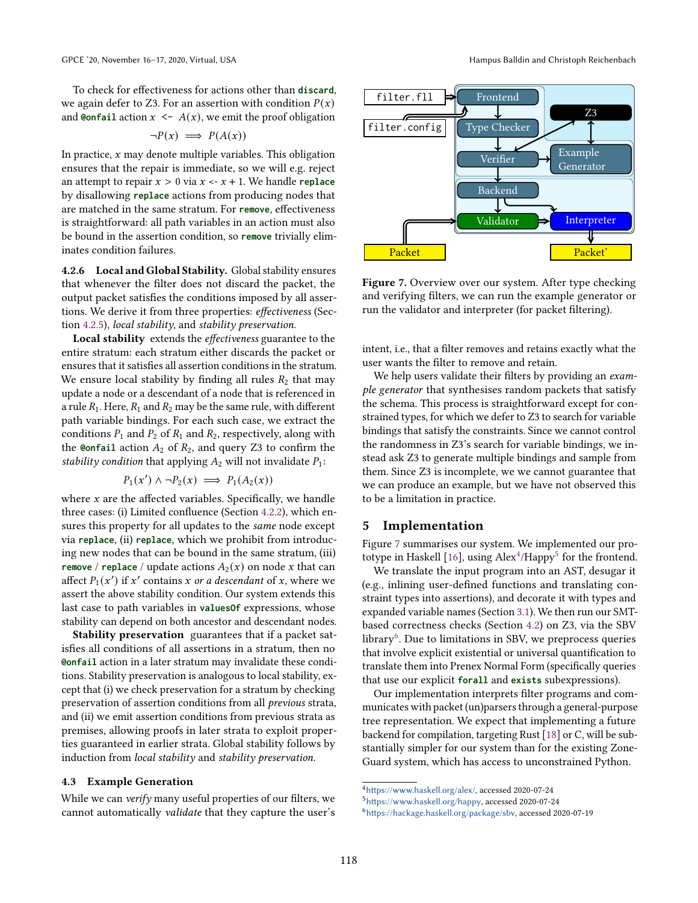To check for effectiveness for actions other than **discard**, we again defer to Z3. For an assertion with condition  $P(x)$ and **@onfail** action  $x \leq A(x)$ , we emit the proof obligation

$$
\neg P(x) \implies P(A(x))
$$

In practice,  $x$  may denote multiple variables. This obligation ensures that the repair is immediate, so we will e.g. reject an attempt to repair  $x > 0$  via  $x < -x + 1$ . We handle **replace** by disallowing **replace** actions from producing nodes that are matched in the same stratum. For **remove**, effectiveness is straightforward: all path variables in an action must also be bound in the assertion condition, so **remove** trivially eliminates condition failures.

<span id="page-7-0"></span>4.2.6 Local and Global Stability. Global stability ensures that whenever the filter does not discard the packet, the output packet satisfies the conditions imposed by all assertions. We derive it from three properties: effectiveness (Section [4.2.5\)](#page-6-3), local stability, and stability preservation.

Local stability extends the effectiveness guarantee to the entire stratum: each stratum either discards the packet or ensures that it satisfies all assertion conditions in the stratum. We ensure local stability by finding all rules  $R_2$  that may update a node or a descendant of a node that is referenced in a rule  $R_1$ . Here,  $R_1$  and  $R_2$  may be the same rule, with different path variable bindings. For each such case, we extract the conditions  $P_1$  and  $P_2$  of  $R_1$  and  $R_2$ , respectively, along with the **@onfail** action  $A_2$  of  $R_2$ , and query Z3 to confirm the stability condition that applying  $A_2$  will not invalidate  $P_1$ :

$$
P_1(x') \land \neg P_2(x) \implies P_1(A_2(x))
$$

where  $x$  are the affected variables. Specifically, we handle three cases: (i) Limited confluence (Section [4.2.2\)](#page-6-4), which ensures this property for all updates to the same node except via **replace**, (ii) **replace**, which we prohibit from introducing new nodes that can be bound in the same stratum, (iii) **remove** / **replace** / update actions  $A_2(x)$  on node x that can affect  $P_1(x')$  if x' contains x or a descendant of x, where we assert the above stability condition. Our system extends this last case to path variables in **valuesOf** expressions, whose stability can depend on both ancestor and descendant nodes.

Stability preservation guarantees that if a packet satisfies all conditions of all assertions in a stratum, then no **@onfail** action in a later stratum may invalidate these conditions. Stability preservation is analogous to local stability, except that (i) we check preservation for a stratum by checking preservation of assertion conditions from all previous strata, and (ii) we emit assertion conditions from previous strata as premises, allowing proofs in later strata to exploit properties guaranteed in earlier strata. Global stability follows by induction from local stability and stability preservation.

#### <span id="page-7-5"></span>4.3 Example Generation

While we can verify many useful properties of our filters, we cannot automatically validate that they capture the user's

<span id="page-7-1"></span>

Figure 7. Overview over our system. After type checking and verifying filters, we can run the example generator or run the validator and interpreter (for packet filtering).

intent, i.e., that a filter removes and retains exactly what the user wants the filter to remove and retain.

We help users validate their filters by providing an example generator that synthesises random packets that satisfy the schema. This process is straightforward except for constrained types, for which we defer to Z3 to search for variable bindings that satisfy the constraints. Since we cannot control the randomness in Z3's search for variable bindings, we instead ask Z3 to generate multiple bindings and sample from them. Since Z3 is incomplete, we we cannot guarantee that we can produce an example, but we have not observed this to be a limitation in practice.

# 5 Implementation

Figure [7](#page-7-1) summarises our system. We implemented our pro-totype in Haskell [\[16\]](#page-12-6), using  $\mathrm{Alex}^4\mathrm{/Happy}^5$  $\mathrm{Alex}^4\mathrm{/Happy}^5$  $\mathrm{Alex}^4\mathrm{/Happy}^5$  $\mathrm{Alex}^4\mathrm{/Happy}^5$  for the frontend.

We translate the input program into an AST, desugar it (e.g., inlining user-defined functions and translating constraint types into assertions), and decorate it with types and expanded variable names (Section [3.1\)](#page-3-0). We then run our SMTbased correctness checks (Section [4.2\)](#page-5-0) on Z3, via the SBV library<sup>[6](#page-7-4)</sup>. Due to limitations in SBV, we preprocess queries that involve explicit existential or universal quantification to translate them into Prenex Normal Form (specifically queries that use our explicit **forall** and **exists** subexpressions).

Our implementation interprets filter programs and communicates with packet (un)parsers through a general-purpose tree representation. We expect that implementing a future backend for compilation, targeting Rust [\[18\]](#page-12-7) or C, will be substantially simpler for our system than for the existing Zone-Guard system, which has access to unconstrained Python.

<span id="page-7-2"></span> $^4$ <https://www.haskell.org/alex/>, accessed 2020-07-24

<span id="page-7-3"></span><sup>5</sup>[https://www.haskell.org/happy]( https://www.haskell.org/happy), accessed 2020-07-24

<span id="page-7-4"></span><sup>6</sup><https://hackage.haskell.org/package/sbv>, accessed 2020-07-19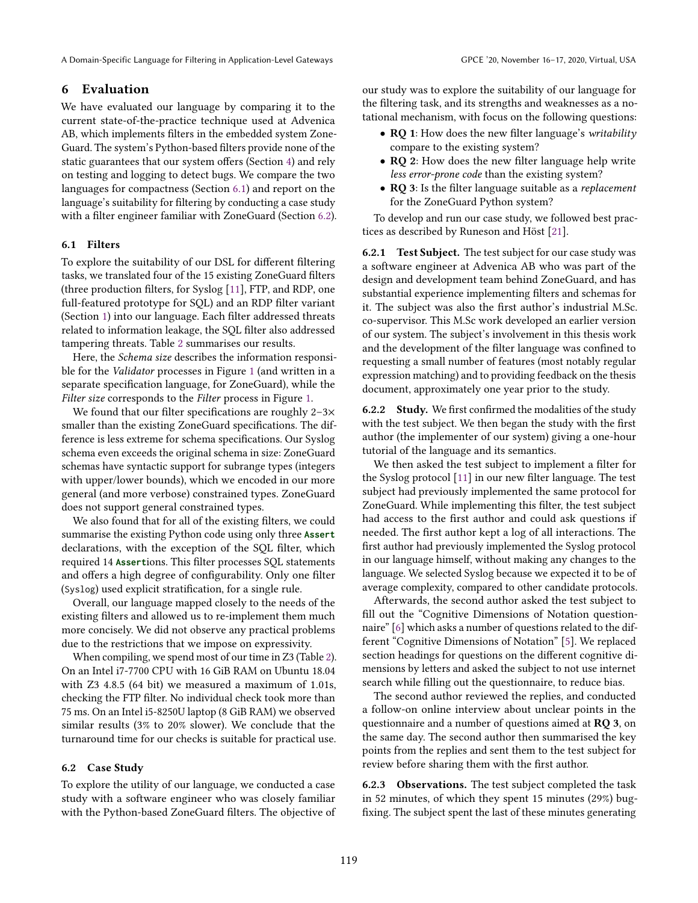A Domain-Specific Language for Filtering in Application-Level Gateways GPCE '20, November 16–17, 2020, Virtual, USA

# 6 Evaluation

We have evaluated our language by comparing it to the current state-of-the-practice technique used at Advenica AB, which implements filters in the embedded system Zone-Guard. The system's Python-based filters provide none of the static guarantees that our system offers (Section [4\)](#page-5-1) and rely on testing and logging to detect bugs. We compare the two languages for compactness (Section [6.1\)](#page-8-0) and report on the language's suitability for filtering by conducting a case study with a filter engineer familiar with ZoneGuard (Section [6.2\)](#page-8-1).

# <span id="page-8-0"></span>6.1 Filters

To explore the suitability of our DSL for different filtering tasks, we translated four of the 15 existing ZoneGuard filters (three production filters, for Syslog [\[11\]](#page-12-8), FTP, and RDP, one full-featured prototype for SQL) and an RDP filter variant (Section [1\)](#page-0-1) into our language. Each filter addressed threats related to information leakage, the SQL filter also addressed tampering threats. Table [2](#page-9-0) summarises our results.

Here, the Schema size describes the information responsible for the Validator processes in Figure [1](#page-1-0) (and written in a separate specification language, for ZoneGuard), while the Filter size corresponds to the Filter process in Figure [1.](#page-1-0)

We found that our filter specifications are roughly 2-3× smaller than the existing ZoneGuard specifications. The difference is less extreme for schema specifications. Our Syslog schema even exceeds the original schema in size: ZoneGuard schemas have syntactic support for subrange types (integers with upper/lower bounds), which we encoded in our more general (and more verbose) constrained types. ZoneGuard does not support general constrained types.

We also found that for all of the existing filters, we could summarise the existing Python code using only three **Assert** declarations, with the exception of the SQL filter, which required 14 **Assert**ions. This filter processes SQL statements and offers a high degree of configurability. Only one filter (Syslog) used explicit stratification, for a single rule.

Overall, our language mapped closely to the needs of the existing filters and allowed us to re-implement them much more concisely. We did not observe any practical problems due to the restrictions that we impose on expressivity.

When compiling, we spend most of our time in Z3 (Table [2\)](#page-9-0). On an Intel i7-7700 CPU with 16 GiB RAM on Ubuntu 18.04 with Z3 4.8.5 (64 bit) we measured a maximum of 1.01s, checking the FTP filter. No individual check took more than 75 ms. On an Intel i5-8250U laptop (8 GiB RAM) we observed similar results (3% to 20% slower). We conclude that the turnaround time for our checks is suitable for practical use.

# <span id="page-8-1"></span>6.2 Case Study

To explore the utility of our language, we conducted a case study with a software engineer who was closely familiar with the Python-based ZoneGuard filters. The objective of our study was to explore the suitability of our language for the filtering task, and its strengths and weaknesses as a notational mechanism, with focus on the following questions:

- RO 1: How does the new filter language's writability compare to the existing system?
- RQ 2: How does the new filter language help write less error-prone code than the existing system?
- RQ 3: Is the filter language suitable as a *replacement* for the ZoneGuard Python system?

To develop and run our case study, we followed best practices as described by Runeson and Höst [\[21\]](#page-12-9).

6.2.1 Test Subject. The test subject for our case study was a software engineer at Advenica AB who was part of the design and development team behind ZoneGuard, and has substantial experience implementing filters and schemas for it. The subject was also the first author's industrial M.Sc. co-supervisor. This M.Sc work developed an earlier version of our system. The subject's involvement in this thesis work and the development of the filter language was confined to requesting a small number of features (most notably regular expression matching) and to providing feedback on the thesis document, approximately one year prior to the study.

6.2.2 Study. We first confirmed the modalities of the study with the test subject. We then began the study with the first author (the implementer of our system) giving a one-hour tutorial of the language and its semantics.

We then asked the test subject to implement a filter for the Syslog protocol [\[11\]](#page-12-8) in our new filter language. The test subject had previously implemented the same protocol for ZoneGuard. While implementing this filter, the test subject had access to the first author and could ask questions if needed. The first author kept a log of all interactions. The first author had previously implemented the Syslog protocol in our language himself, without making any changes to the language. We selected Syslog because we expected it to be of average complexity, compared to other candidate protocols.

Afterwards, the second author asked the test subject to fill out the "Cognitive Dimensions of Notation questionnaire" [\[6\]](#page-12-10) which asks a number of questions related to the different "Cognitive Dimensions of Notation" [\[5\]](#page-12-11). We replaced section headings for questions on the different cognitive dimensions by letters and asked the subject to not use internet search while filling out the questionnaire, to reduce bias.

The second author reviewed the replies, and conducted a follow-on online interview about unclear points in the questionnaire and a number of questions aimed at RQ 3, on the same day. The second author then summarised the key points from the replies and sent them to the test subject for review before sharing them with the first author.

6.2.3 Observations. The test subject completed the task in 52 minutes, of which they spent 15 minutes (29%) bugfixing. The subject spent the last of these minutes generating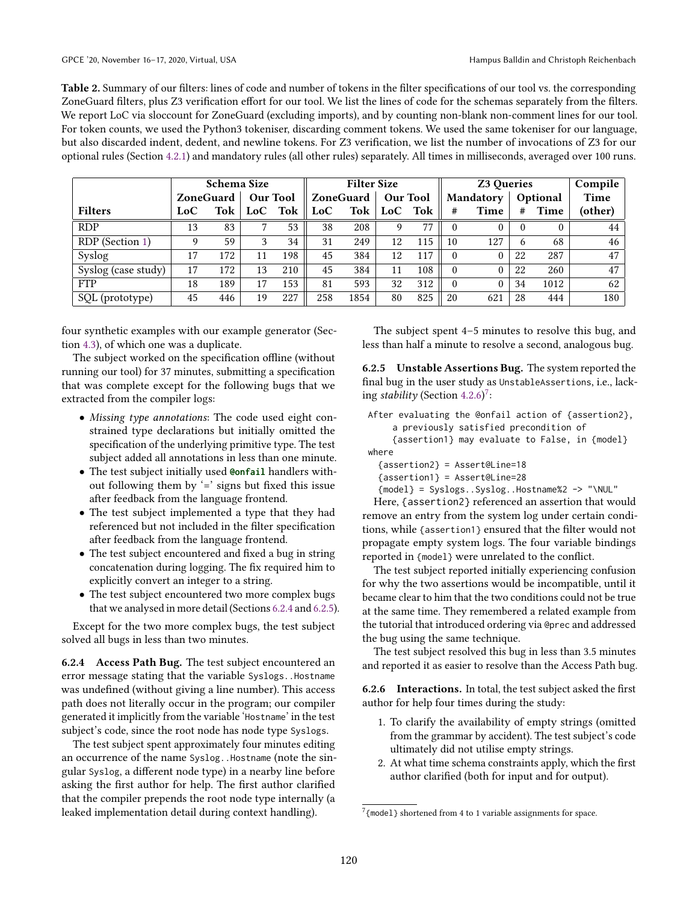<span id="page-9-0"></span>Table 2. Summary of our filters: lines of code and number of tokens in the filter specifications of our tool vs. the corresponding ZoneGuard filters, plus Z3 verification effort for our tool. We list the lines of code for the schemas separately from the filters. We report LoC via sloccount for ZoneGuard (excluding imports), and by counting non-blank non-comment lines for our tool. For token counts, we used the Python3 tokeniser, discarding comment tokens. We used the same tokeniser for our language, but also discarded indent, dedent, and newline tokens. For Z3 verification, we list the number of invocations of Z3 for our optional rules (Section [4.2.1\)](#page-6-0) and mandatory rules (all other rules) separately. All times in milliseconds, averaged over 100 runs.

| <b>Schema Size</b>  |                  |     |                 |     | <b>Filter Size</b> |      |                 |     | <b>Z3 Oueries</b> |      |          |          | Compile |
|---------------------|------------------|-----|-----------------|-----|--------------------|------|-----------------|-----|-------------------|------|----------|----------|---------|
|                     | <b>ZoneGuard</b> |     | <b>Our Tool</b> |     | ZoneGuard          |      | <b>Our Tool</b> |     | <b>Mandatory</b>  |      | Optional |          | Time    |
| <b>Filters</b>      | LoC              | Tok | LoC             | Tok | LoC                | Tok  | LoC             | Tok | #                 | Time | #        | Time     | (other) |
| <b>RDP</b>          | 13               | 83  |                 | 53  | 38                 | 208  | 9               | 77  | $\theta$          |      | $\theta$ | $\Omega$ | 44      |
| RDP (Section 1)     | 9                | 59  | 3               | 34  | 31                 | 249  | 12              | 115 | 10                | 127  | 6        | 68       | 46      |
| Syslog              | 17               | 172 | 11              | 198 | 45                 | 384  | 12              | 117 | 0                 |      | 22       | 287      | 47      |
| Syslog (case study) | 17               | 172 | 13              | 210 | 45                 | 384  | 11              | 108 | $\Omega$          |      | 22       | 260      | 47      |
| <b>FTP</b>          | 18               | 189 | 17              | 153 | 81                 | 593  | 32              | 312 | $\Omega$          | 0    | 34       | 1012     | 62      |
| SQL (prototype)     | 45               | 446 | 19              | 227 | 258                | 1854 | 80              | 825 | 20                | 621  | 28       | 444      | 180     |

four synthetic examples with our example generator (Section [4.3\)](#page-7-5), of which one was a duplicate.

The subject worked on the specification offline (without running our tool) for 37 minutes, submitting a specification that was complete except for the following bugs that we extracted from the compiler logs:

- Missing type annotations: The code used eight constrained type declarations but initially omitted the specification of the underlying primitive type. The test subject added all annotations in less than one minute.
- The test subject initially used **@onfail** handlers without following them by  $\leq$  signs but fixed this issue after feedback from the language frontend.
- The test subject implemented a type that they had referenced but not included in the filter specification after feedback from the language frontend.
- The test subject encountered and fixed a bug in string concatenation during logging. The fix required him to explicitly convert an integer to a string.
- The test subject encountered two more complex bugs that we analysed in more detail (Sections [6.2.4](#page-9-1) and [6.2.5\)](#page-9-2).

Except for the two more complex bugs, the test subject solved all bugs in less than two minutes.

<span id="page-9-1"></span>6.2.4 Access Path Bug. The test subject encountered an error message stating that the variable Syslogs..Hostname was undefined (without giving a line number). This access path does not literally occur in the program; our compiler generated it implicitly from the variable 'Hostname' in the test subject's code, since the root node has node type Syslogs.

The test subject spent approximately four minutes editing an occurrence of the name Syslog..Hostname (note the singular Syslog, a different node type) in a nearby line before asking the first author for help. The first author clarified that the compiler prepends the root node type internally (a leaked implementation detail during context handling).

The subject spent 4–5 minutes to resolve this bug, and less than half a minute to resolve a second, analogous bug.

<span id="page-9-2"></span>6.2.5 Unstable Assertions Bug. The system reported the final bug in the user study as UnstableAssertions, i.e., lacking stability (Section  $4.2.6$ )<sup>[7](#page-9-3)</sup>:

```
After evaluating the @onfail action of {assertion2},
    a previously satisfied precondition of
    {assertion1} may evaluate to False, in {model}
where
```

```
{assertion2} = Assert@Line=18
```

```
{assertion1} = Assert@Line=28
```
{model} = Syslogs..Syslog..Hostname%2 -> "\NUL"

Here, {assertion2} referenced an assertion that would remove an entry from the system log under certain conditions, while {assertion1} ensured that the filter would not propagate empty system logs. The four variable bindings reported in {model} were unrelated to the conflict.

The test subject reported initially experiencing confusion for why the two assertions would be incompatible, until it became clear to him that the two conditions could not be true at the same time. They remembered a related example from the tutorial that introduced ordering via @prec and addressed the bug using the same technique.

The test subject resolved this bug in less than 3.5 minutes and reported it as easier to resolve than the Access Path bug.

6.2.6 Interactions. In total, the test subject asked the first author for help four times during the study:

- 1. To clarify the availability of empty strings (omitted from the grammar by accident). The test subject's code ultimately did not utilise empty strings.
- 2. At what time schema constraints apply, which the first author clarified (both for input and for output).

<span id="page-9-3"></span> $7$ {model} shortened from 4 to 1 variable assignments for space.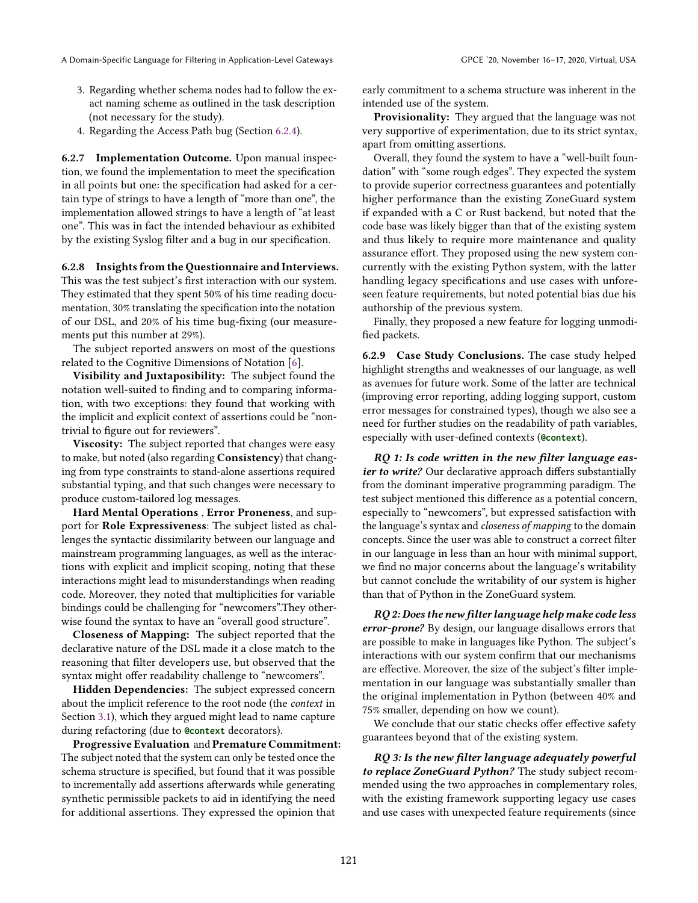- 3. Regarding whether schema nodes had to follow the exact naming scheme as outlined in the task description (not necessary for the study).
- 4. Regarding the Access Path bug (Section [6.2.4\)](#page-9-1).

6.2.7 Implementation Outcome. Upon manual inspection, we found the implementation to meet the specification in all points but one: the specification had asked for a certain type of strings to have a length of "more than one", the implementation allowed strings to have a length of "at least one". This was in fact the intended behaviour as exhibited by the existing Syslog filter and a bug in our specification.

6.2.8 Insights from the Questionnaire and Interviews. This was the test subject's first interaction with our system. They estimated that they spent 50% of his time reading documentation, 30% translating the specification into the notation of our DSL, and 20% of his time bug-fixing (our measurements put this number at 29%).

The subject reported answers on most of the questions related to the Cognitive Dimensions of Notation [\[6\]](#page-12-10).

Visibility and Juxtaposibility: The subject found the notation well-suited to finding and to comparing information, with two exceptions: they found that working with the implicit and explicit context of assertions could be "nontrivial to figure out for reviewers".

**Viscosity:** The subject reported that changes were easy to make, but noted (also regarding Consistency) that changing from type constraints to stand-alone assertions required substantial typing, and that such changes were necessary to produce custom-tailored log messages.

Hard Mental Operations , Error Proneness, and support for Role Expressiveness: The subject listed as challenges the syntactic dissimilarity between our language and mainstream programming languages, as well as the interactions with explicit and implicit scoping, noting that these interactions might lead to misunderstandings when reading code. Moreover, they noted that multiplicities for variable bindings could be challenging for "newcomers".They otherwise found the syntax to have an "overall good structure".

Closeness of Mapping: The subject reported that the declarative nature of the DSL made it a close match to the reasoning that filter developers use, but observed that the syntax might offer readability challenge to "newcomers".

Hidden Dependencies: The subject expressed concern about the implicit reference to the root node (the context in Section [3.1\)](#page-3-0), which they argued might lead to name capture during refactoring (due to **@context** decorators).

Progressive Evaluation and Premature Commitment: The subject noted that the system can only be tested once the schema structure is specified, but found that it was possible to incrementally add assertions afterwards while generating synthetic permissible packets to aid in identifying the need for additional assertions. They expressed the opinion that

early commitment to a schema structure was inherent in the intended use of the system.

Provisionality: They argued that the language was not very supportive of experimentation, due to its strict syntax, apart from omitting assertions.

Overall, they found the system to have a "well-built foundation" with "some rough edges". They expected the system to provide superior correctness guarantees and potentially higher performance than the existing ZoneGuard system if expanded with a C or Rust backend, but noted that the code base was likely bigger than that of the existing system and thus likely to require more maintenance and quality assurance effort. They proposed using the new system concurrently with the existing Python system, with the latter handling legacy specifications and use cases with unforeseen feature requirements, but noted potential bias due his authorship of the previous system.

Finally, they proposed a new feature for logging unmodified packets.

6.2.9 Case Study Conclusions. The case study helped highlight strengths and weaknesses of our language, as well as avenues for future work. Some of the latter are technical (improving error reporting, adding logging support, custom error messages for constrained types), though we also see a need for further studies on the readability of path variables, especially with user-defined contexts (**@context**).

RQ 1: Is code written in the new filter language easier to write? Our declarative approach differs substantially from the dominant imperative programming paradigm. The test subject mentioned this difference as a potential concern, especially to "newcomers", but expressed satisfaction with the language's syntax and closeness of mapping to the domain concepts. Since the user was able to construct a correct filter in our language in less than an hour with minimal support, we find no major concerns about the language's writability but cannot conclude the writability of our system is higher than that of Python in the ZoneGuard system.

RQ 2: Does the new filter language help make code less error-prone? By design, our language disallows errors that are possible to make in languages like Python. The subject's interactions with our system confirm that our mechanisms are effective. Moreover, the size of the subject's filter implementation in our language was substantially smaller than the original implementation in Python (between 40% and 75% smaller, depending on how we count).

We conclude that our static checks offer effective safety guarantees beyond that of the existing system.

RQ 3: Is the new filter language adequately powerful to replace ZoneGuard Python? The study subject recommended using the two approaches in complementary roles, with the existing framework supporting legacy use cases and use cases with unexpected feature requirements (since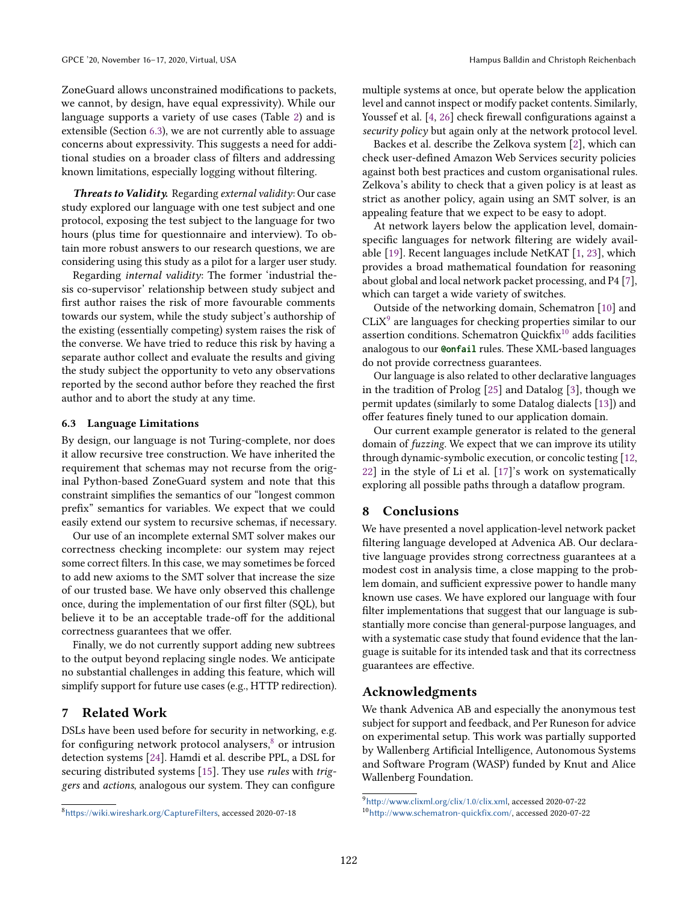ZoneGuard allows unconstrained modifications to packets, we cannot, by design, have equal expressivity). While our language supports a variety of use cases (Table [2\)](#page-9-0) and is extensible (Section [6.3\)](#page-11-0), we are not currently able to assuage concerns about expressivity. This suggests a need for additional studies on a broader class of filters and addressing known limitations, especially logging without filtering.

Threats to Validity. Regarding external validity: Our case study explored our language with one test subject and one protocol, exposing the test subject to the language for two hours (plus time for questionnaire and interview). To obtain more robust answers to our research questions, we are considering using this study as a pilot for a larger user study.

Regarding internal validity: The former 'industrial thesis co-supervisor' relationship between study subject and first author raises the risk of more favourable comments towards our system, while the study subject's authorship of the existing (essentially competing) system raises the risk of the converse. We have tried to reduce this risk by having a separate author collect and evaluate the results and giving the study subject the opportunity to veto any observations reported by the second author before they reached the first author and to abort the study at any time.

#### <span id="page-11-0"></span>6.3 Language Limitations

By design, our language is not Turing-complete, nor does it allow recursive tree construction. We have inherited the requirement that schemas may not recurse from the original Python-based ZoneGuard system and note that this constraint simplifies the semantics of our "longest common prefix" semantics for variables. We expect that we could easily extend our system to recursive schemas, if necessary.

Our use of an incomplete external SMT solver makes our correctness checking incomplete: our system may reject some correct filters. In this case, we may sometimes be forced to add new axioms to the SMT solver that increase the size of our trusted base. We have only observed this challenge once, during the implementation of our first filter (SQL), but believe it to be an acceptable trade-off for the additional correctness guarantees that we offer.

Finally, we do not currently support adding new subtrees to the output beyond replacing single nodes. We anticipate no substantial challenges in adding this feature, which will simplify support for future use cases (e.g., HTTP redirection).

# 7 Related Work

DSLs have been used before for security in networking, e.g. for configuring network protocol analysers, $\delta$  or intrusion detection systems [\[24\]](#page-12-12). Hamdi et al. describe PPL, a DSL for securing distributed systems [\[15\]](#page-12-13). They use rules with triggers and actions, analogous our system. They can configure

multiple systems at once, but operate below the application level and cannot inspect or modify packet contents. Similarly, Youssef et al. [\[4,](#page-12-14) [26\]](#page-12-15) check firewall configurations against a security policy but again only at the network protocol level.

Backes et al. describe the Zelkova system [\[2\]](#page-12-16), which can check user-defined Amazon Web Services security policies against both best practices and custom organisational rules. Zelkova's ability to check that a given policy is at least as strict as another policy, again using an SMT solver, is an appealing feature that we expect to be easy to adopt.

At network layers below the application level, domainspecific languages for network filtering are widely available [\[19\]](#page-12-17). Recent languages include NetKAT [\[1,](#page-12-18) [23\]](#page-12-19), which provides a broad mathematical foundation for reasoning about global and local network packet processing, and P4 [\[7\]](#page-12-20), which can target a wide variety of switches.

Outside of the networking domain, Schematron [\[10\]](#page-12-21) and  $CLiX<sup>9</sup>$  $CLiX<sup>9</sup>$  $CLiX<sup>9</sup>$  are languages for checking properties similar to our assertion conditions. Schematron Quickfix $10$  adds facilities analogous to our **@onfail** rules. These XML-based languages do not provide correctness guarantees.

Our language is also related to other declarative languages in the tradition of Prolog [\[25\]](#page-12-22) and Datalog [\[3\]](#page-12-23), though we permit updates (similarly to some Datalog dialects [\[13\]](#page-12-24)) and offer features finely tuned to our application domain.

Our current example generator is related to the general domain of *fuzzing*. We expect that we can improve its utility through dynamic-symbolic execution, or concolic testing [\[12,](#page-12-25) [22\]](#page-12-26) in the style of Li et al. [\[17\]](#page-12-27)'s work on systematically exploring all possible paths through a dataflow program.

## 8 Conclusions

We have presented a novel application-level network packet filtering language developed at Advenica AB. Our declarative language provides strong correctness guarantees at a modest cost in analysis time, a close mapping to the problem domain, and sufficient expressive power to handle many known use cases. We have explored our language with four filter implementations that suggest that our language is substantially more concise than general-purpose languages, and with a systematic case study that found evidence that the language is suitable for its intended task and that its correctness guarantees are effective.

## Acknowledgments

We thank Advenica AB and especially the anonymous test subject for support and feedback, and Per Runeson for advice on experimental setup. This work was partially supported by Wallenberg Artificial Intelligence, Autonomous Systems and Software Program (WASP) funded by Knut and Alice Wallenberg Foundation.

<span id="page-11-1"></span><sup>8</sup><https://wiki.wireshark.org/CaptureFilters>, accessed 2020-07-18

<span id="page-11-3"></span><span id="page-11-2"></span><sup>9</sup><http://www.clixml.org/clix/1.0/clix.xml>, accessed 2020-07-22

<sup>10</sup><http://www.schematron-quickfix.com/>, accessed 2020-07-22